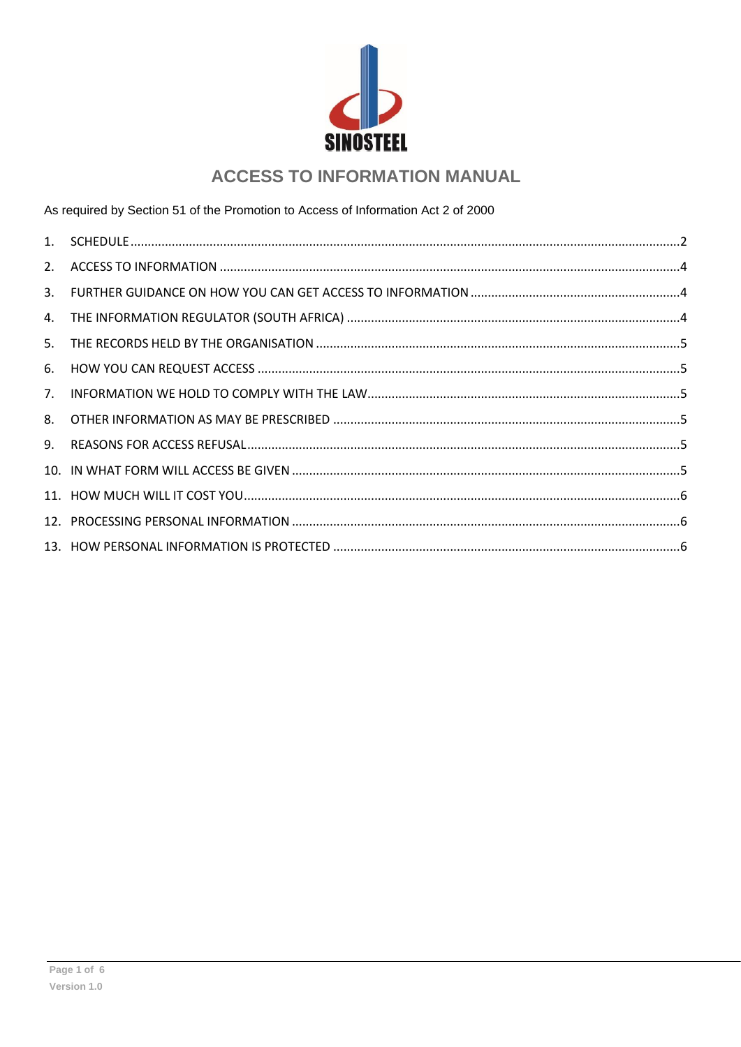

# **ACCESS TO INFORMATION MANUAL**

As required by Section 51 of the Promotion to Access of Information Act 2 of 2000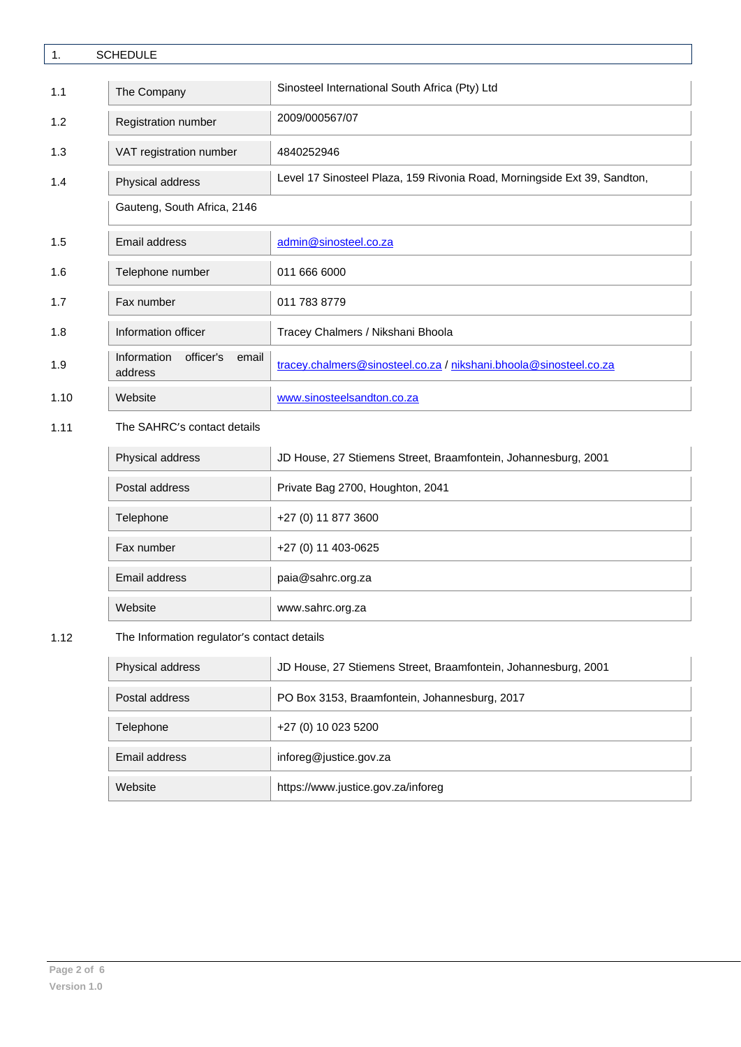<span id="page-1-0"></span>

| $\mathbf{1}$ . | <b>SCHEDULE</b>                              |                                                                          |  |  |  |
|----------------|----------------------------------------------|--------------------------------------------------------------------------|--|--|--|
| 1.1            | The Company                                  | Sinosteel International South Africa (Pty) Ltd                           |  |  |  |
| 1.2            | Registration number                          | 2009/000567/07                                                           |  |  |  |
| 1.3            | VAT registration number                      | 4840252946                                                               |  |  |  |
| 1.4            | Physical address                             | Level 17 Sinosteel Plaza, 159 Rivonia Road, Morningside Ext 39, Sandton, |  |  |  |
|                | Gauteng, South Africa, 2146                  |                                                                          |  |  |  |
| 1.5            | <b>Email address</b>                         | admin@sinosteel.co.za                                                    |  |  |  |
| 1.6            | Telephone number                             | 011 666 6000                                                             |  |  |  |
| 1.7            | Fax number                                   | 011 783 8779                                                             |  |  |  |
| 1.8            | Information officer                          | Tracey Chalmers / Nikshani Bhoola                                        |  |  |  |
| 1.9            | Information<br>officer's<br>email<br>address | tracey.chalmers@sinosteel.co.za / nikshani.bhoola@sinosteel.co.za        |  |  |  |
| 1.10           | Website                                      | www.sinosteelsandton.co.za                                               |  |  |  |
| 1.11           | The SAHRC's contact details                  |                                                                          |  |  |  |
|                | Physical address                             | JD House, 27 Stiemens Street, Braamfontein, Johannesburg, 2001           |  |  |  |
|                | Postal address                               | Private Bag 2700, Houghton, 2041                                         |  |  |  |
|                | Telephone                                    | +27 (0) 11 877 3600                                                      |  |  |  |
|                | Fax number                                   | +27 (0) 11 403-0625                                                      |  |  |  |

Email address paia@sahrc.org.za Website www.sahrc.org.za

# 1.12 The Information regulator's contact details

| Physical address | JD House, 27 Stiemens Street, Braamfontein, Johannesburg, 2001 |
|------------------|----------------------------------------------------------------|
| Postal address   | PO Box 3153, Braamfontein, Johannesburg, 2017                  |
| Telephone        | +27 (0) 10 023 5200                                            |
| Email address    | inforeg@justice.gov.za                                         |
| Website          | https://www.justice.gov.za/inforeg                             |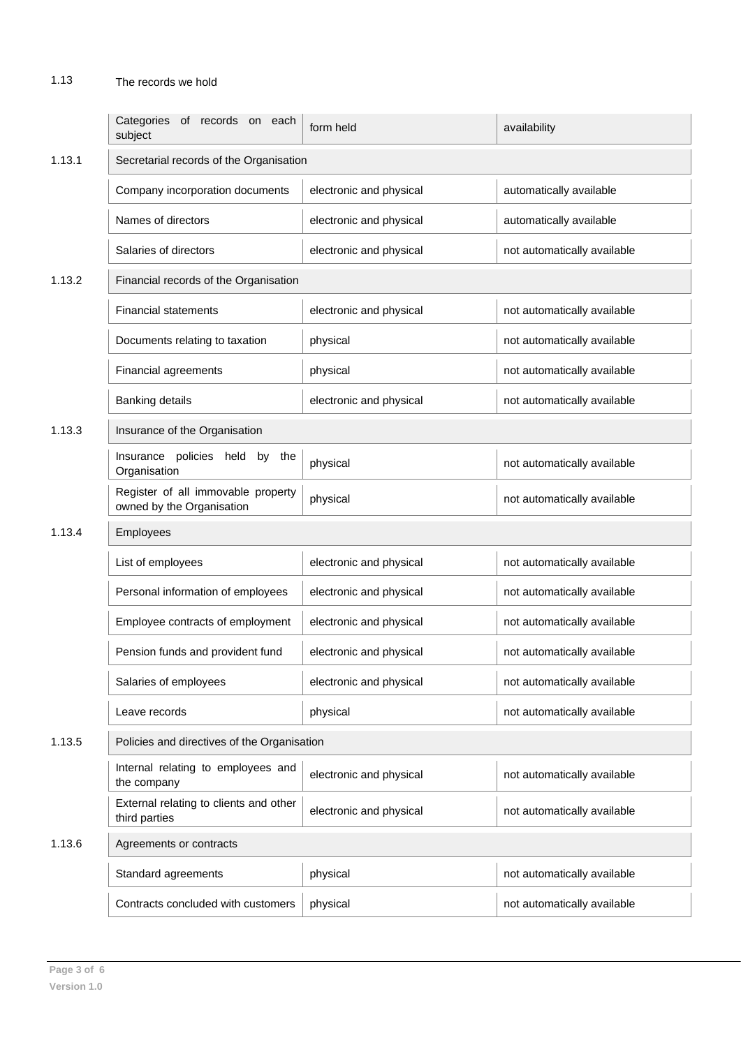# 1.13 The records we hold

|        | Categories of records on each<br>subject                        | form held               | availability                |  |
|--------|-----------------------------------------------------------------|-------------------------|-----------------------------|--|
| 1.13.1 | Secretarial records of the Organisation                         |                         |                             |  |
|        | Company incorporation documents                                 | electronic and physical | automatically available     |  |
|        | Names of directors                                              | electronic and physical | automatically available     |  |
|        | Salaries of directors                                           | electronic and physical | not automatically available |  |
| 1.13.2 | Financial records of the Organisation                           |                         |                             |  |
|        | <b>Financial statements</b>                                     | electronic and physical | not automatically available |  |
|        | Documents relating to taxation                                  | physical                | not automatically available |  |
|        | Financial agreements                                            | physical                | not automatically available |  |
|        | <b>Banking details</b>                                          | electronic and physical | not automatically available |  |
| 1.13.3 | Insurance of the Organisation                                   |                         |                             |  |
|        | policies held<br>by the<br>Insurance<br>Organisation            | physical                | not automatically available |  |
|        | Register of all immovable property<br>owned by the Organisation | physical                | not automatically available |  |
| 1.13.4 | Employees                                                       |                         |                             |  |
|        |                                                                 |                         |                             |  |
|        | List of employees                                               | electronic and physical | not automatically available |  |
|        | Personal information of employees                               | electronic and physical | not automatically available |  |
|        | Employee contracts of employment                                | electronic and physical | not automatically available |  |
|        | Pension funds and provident fund                                | electronic and physical | not automatically available |  |
|        | Salaries of employees                                           | electronic and physical | not automatically available |  |
|        | Leave records                                                   | physical                | not automatically available |  |
| 1.13.5 | Policies and directives of the Organisation                     |                         |                             |  |
|        | Internal relating to employees and<br>the company               | electronic and physical | not automatically available |  |
|        | External relating to clients and other<br>third parties         | electronic and physical | not automatically available |  |
| 1.13.6 | Agreements or contracts                                         |                         |                             |  |
|        | Standard agreements                                             | physical                | not automatically available |  |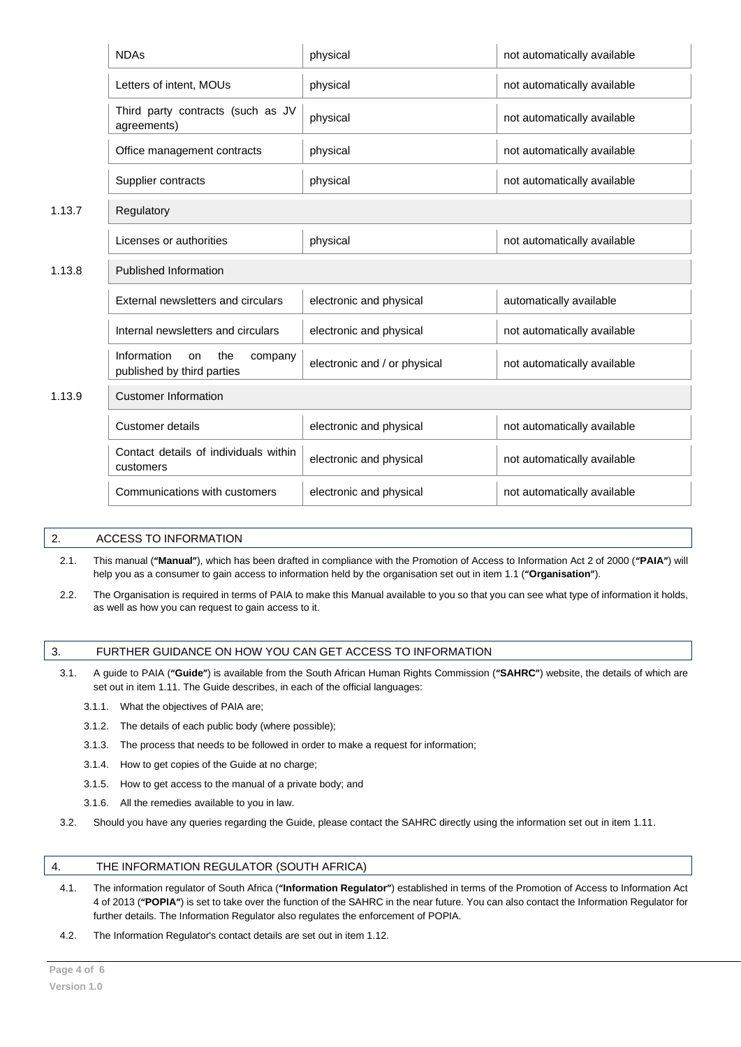|        | <b>NDAs</b>                                                       | physical                     | not automatically available |  |  |
|--------|-------------------------------------------------------------------|------------------------------|-----------------------------|--|--|
|        | Letters of intent, MOUs                                           | physical                     | not automatically available |  |  |
|        | Third party contracts (such as JV<br>agreements)                  | physical                     | not automatically available |  |  |
|        | Office management contracts                                       | physical                     | not automatically available |  |  |
|        | Supplier contracts                                                | physical                     | not automatically available |  |  |
| 1.13.7 | Regulatory                                                        |                              |                             |  |  |
|        | Licenses or authorities                                           | physical                     | not automatically available |  |  |
| 1.13.8 | Published Information                                             |                              |                             |  |  |
|        | External newsletters and circulars                                | electronic and physical      | automatically available     |  |  |
|        | Internal newsletters and circulars                                | electronic and physical      | not automatically available |  |  |
|        | Information<br>the<br>on<br>company<br>published by third parties | electronic and / or physical | not automatically available |  |  |
| 1.13.9 | <b>Customer Information</b>                                       |                              |                             |  |  |
|        | <b>Customer details</b>                                           | electronic and physical      | not automatically available |  |  |
|        | Contact details of individuals within<br>customers                | electronic and physical      | not automatically available |  |  |
|        | Communications with customers                                     | electronic and physical      | not automatically available |  |  |

# <span id="page-3-0"></span>2. ACCESS TO INFORMATION

- 2.1. This manual (**"Manual"**), which has been drafted in compliance with the Promotion of Access to Information Act 2 of 2000 (**"PAIA"**) will help you as a consumer to gain access to information held by the organisation set out in item 1.1 (**"Organisation"**).
- 2.2. The Organisation is required in terms of PAIA to make this Manual available to you so that you can see what type of information it holds, as well as how you can request to gain access to it.

### <span id="page-3-1"></span>3. FURTHER GUIDANCE ON HOW YOU CAN GET ACCESS TO INFORMATION

- 3.1. A guide to PAIA (**"Guide"**) is available from the South African Human Rights Commission (**"SAHRC"**) website, the details of which are set out in item 1.11. The Guide describes, in each of the official languages:
	- 3.1.1. What the objectives of PAIA are;
	- 3.1.2. The details of each public body (where possible);
	- 3.1.3. The process that needs to be followed in order to make a request for information;
	- 3.1.4. How to get copies of the Guide at no charge;
	- 3.1.5. How to get access to the manual of a private body; and
	- 3.1.6. All the remedies available to you in law.
- 3.2. Should you have any queries regarding the Guide, please contact the SAHRC directly using the information set out in item 1.11.

# <span id="page-3-2"></span>4. THE INFORMATION REGULATOR (SOUTH AFRICA)

- 4.1. The information regulator of South Africa (**"Information Regulator"**) established in terms of the Promotion of Access to Information Act 4 of 2013 (**"POPIA"**) is set to take over the function of the SAHRC in the near future. You can also contact the Information Regulator for further details. The Information Regulator also regulates the enforcement of POPIA.
- 4.2. The Information Regulator's contact details are set out in item 1.12.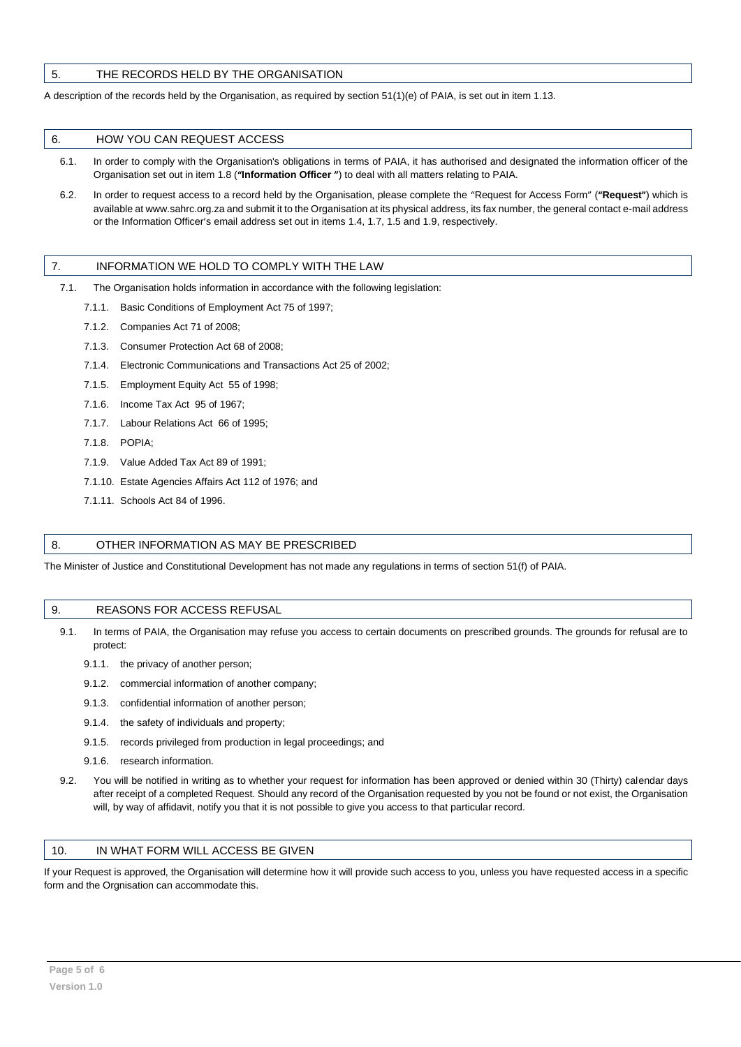# <span id="page-4-0"></span>5. THE RECORDS HELD BY THE ORGANISATION

A description of the records held by the Organisation, as required by section 51(1)(e) of PAIA, is set out in item 1.13.

#### <span id="page-4-1"></span>6. HOW YOU CAN REQUEST ACCESS

- 6.1. In order to comply with the Organisation's obligations in terms of PAIA, it has authorised and designated the information officer of the Organisation set out in item 1.8 (**"Information Officer "**) to deal with all matters relating to PAIA.
- 6.2. In order to request access to a record held by the Organisation, please complete the "Request for Access Form" (**"Request"**) which is available at www.sahrc.org.za and submit it to the Organisation at its physical address, its fax number, the general contact e-mail address or the Information Officer's email address set out in items 1.4, 1.7, 1.5 and 1.9, respectively.

### <span id="page-4-2"></span>7. INFORMATION WE HOLD TO COMPLY WITH THE LAW

- 7.1. The Organisation holds information in accordance with the following legislation:
	- 7.1.1. Basic Conditions of Employment Act 75 of 1997;
	- 7.1.2. Companies Act 71 of 2008;
	- 7.1.3. Consumer Protection Act 68 of 2008;
	- 7.1.4. Electronic Communications and Transactions Act 25 of 2002;
	- 7.1.5. Employment Equity Act 55 of 1998;
	- 7.1.6. Income Tax Act 95 of 1967;
	- 7.1.7. Labour Relations Act 66 of 1995;
	- 7.1.8. POPIA;
	- 7.1.9. Value Added Tax Act 89 of 1991;
	- 7.1.10. Estate Agencies Affairs Act 112 of 1976; and
	- 7.1.11. Schools Act 84 of 1996.

#### <span id="page-4-3"></span>8. OTHER INFORMATION AS MAY BE PRESCRIBED

The Minister of Justice and Constitutional Development has not made any regulations in terms of section 51(f) of PAIA.

#### <span id="page-4-4"></span>9. REASONS FOR ACCESS REFUSAL

- 9.1. In terms of PAIA, the Organisation may refuse you access to certain documents on prescribed grounds. The grounds for refusal are to protect:
	- 9.1.1. the privacy of another person;
	- 9.1.2. commercial information of another company;
	- 9.1.3. confidential information of another person;
	- 9.1.4. the safety of individuals and property;
	- 9.1.5. records privileged from production in legal proceedings; and
	- 9.1.6. research information.
- 9.2. You will be notified in writing as to whether your request for information has been approved or denied within 30 (Thirty) calendar days after receipt of a completed Request. Should any record of the Organisation requested by you not be found or not exist, the Organisation will, by way of affidavit, notify you that it is not possible to give you access to that particular record.

#### <span id="page-4-5"></span>10. IN WHAT FORM WILL ACCESS BE GIVEN

If your Request is approved, the Organisation will determine how it will provide such access to you, unless you have requested access in a specific form and the Orgnisation can accommodate this.